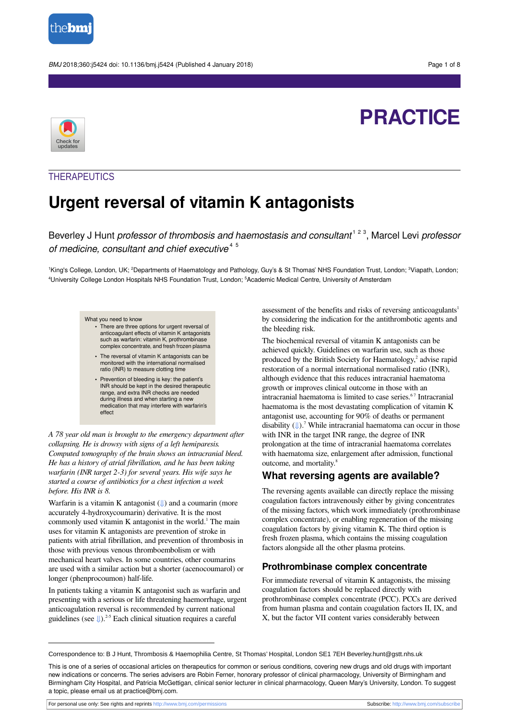

BMJ 2018;360:j5424 doi: 10.1136/bmj.j5424 (Published 4 January 2018) **Page 1 of 8** Page 1 of 8

# **PRACTICE**



### **THERAPEUTICS**

# **Urgent reversal of vitamin K antagonists**

Beverley J Hunt professor of thrombosis and haemostasis and consultant<sup>123</sup>, Marcel Levi professor of medicine, consultant and chief executive<sup>45</sup>

<sup>1</sup>King's College, London, UK; <sup>2</sup>Departments of Haematology and Pathology, Guy's & St Thomas' NHS Foundation Trust, London; <sup>3</sup>Viapath, London; <sup>4</sup>University College London Hospitals NHS Foundation Trust, London; <sup>5</sup>Academic Medical Centre, University of Amsterdam

#### What you need to know

**•** There are three options for urgent reversal of anticoagulant effects of vitamin K antagonists such as warfarin: vitamin K, prothrombinase complex concentrate, and fresh frozen plasma

- **•** The reversal of vitamin K antagonists can be monitored with the international normalised ratio (INR) to measure clotting time
- **•** Prevention of bleeding is key: the patient's INR should be kept in the desired therapeutic range, and extra INR checks are needed during illness and when starting a new medication that may interfere with warfarin's effect

*A 78 year old man is brought to the emergency department after collapsing. He is drowsy with signs of a left hemiparesis. Computed tomography of the brain shows an intracranial bleed. He has a history of atrial fibrillation, and he has been taking warfarin (INR target 2-3) for several years. His wife says he started a course of antibiotics for a chest infection a week before. His INR is 8.*

Warfarin is a vitamin K antagonist  $(\Downarrow)$  and a coumarin (more accurately 4-hydroxycoumarin) derivative. It is the most commonly used vitamin K antagonist in the world.<sup>1</sup> The main uses for vitamin K antagonists are prevention of stroke in patients with atrial fibrillation, and prevention of thrombosis in those with previous venous thromboembolism or with mechanical heart valves. In some countries, other coumarins are used with a similar action but a shorter (acenocoumarol) or longer (phenprocoumon) half-life.

In patients taking a vitamin K antagonist such as warfarin and presenting with a serious or life threatening haemorrhage, urgent anticoagulation reversal is recommended by current national guidelines (see  $\downarrow$ ).<sup>2-5</sup> Each clinical situation requires a careful

assessment of the benefits and risks of reversing anticoagulants 1 by considering the indication for the antithrombotic agents and the bleeding risk.

The biochemical reversal of vitamin K antagonists can be achieved quickly. Guidelines on warfarin use, such as those produced by the British Society for Haematology, 2 advise rapid restoration of a normal international normalised ratio (INR), although evidence that this reduces intracranial haematoma growth or improves clinical outcome in those with an intracranial haematoma is limited to case series.<sup>67</sup> Intracranial haematoma is the most devastating complication of vitamin K antagonist use, accounting for 90% of deaths or permanent disability (↓).<sup>7</sup> While intracranial haematoma can occur in those with INR in the target INR range, the degree of INR prolongation at the time of intracranial haematoma correlates with haematoma size, enlargement after admission, functional outcome, and mortality.<sup>8</sup>

#### **What reversing agents are available?**

The reversing agents available can directly replace the missing coagulation factors intravenously either by giving concentrates of the missing factors, which work immediately (prothrombinase complex concentrate), or enabling regeneration of the missing coagulation factors by giving vitamin K. The third option is fresh frozen plasma, which contains the missing coagulation factors alongside all the other plasma proteins.

#### **Prothrombinase complex concentrate**

For immediate reversal of vitamin K antagonists, the missing coagulation factors should be replaced directly with prothrombinase complex concentrate (PCC). PCCs are derived from human plasma and contain coagulation factors II, IX, and X, but the factor VII content varies considerably between

For personal use only: See rights and reprints<http://www.bmj.com/permissions> Subscribe: <http://www.bmj.com/subscribe>

Correspondence to: B J Hunt, Thrombosis & Haemophilia Centre, St Thomas' Hospital, London SE1 7EH Beverley.hunt@gstt.nhs.uk

This is one of a series of occasional articles on therapeutics for common or serious conditions, covering new drugs and old drugs with important new indications or concerns. The series advisers are Robin Ferner, honorary professor of clinical pharmacology, University of Birmingham and Birmingham City Hospital, and Patricia McGettigan, clinical senior lecturer in clinical pharmacology, Queen Mary's University, London. To suggest a topic, please email us at practice@bmj.com.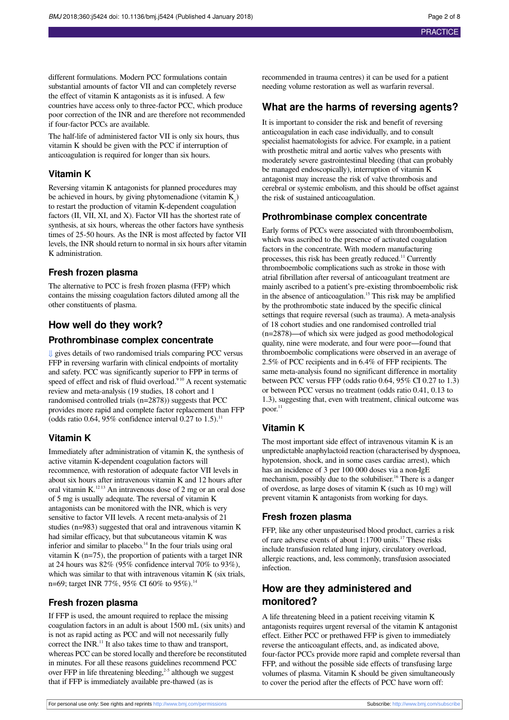different formulations. Modern PCC formulations contain substantial amounts of factor VII and can completely reverse the effect of vitamin K antagonists as it is infused. A few countries have access only to three-factor PCC, which produce poor correction of the INR and are therefore not recommended if four-factor PCCs are available.

The half-life of administered factor VII is only six hours, thus vitamin K should be given with the PCC if interruption of anticoagulation is required for longer than six hours.

#### **Vitamin K**

Reversing vitamin K antagonists for planned procedures may be achieved in hours, by giving phytomenadione (vitamin  $K_i$ ) to restart the production of vitamin K-dependent coagulation factors (II, VII, XI, and X). Factor VII has the shortest rate of synthesis, at six hours, whereas the other factors have synthesis times of 25-50 hours. As the INR is most affected by factor VII levels, the INR should return to normal in six hours after vitamin K administration.

#### **Fresh frozen plasma**

The alternative to PCC is fresh frozen plasma (FFP) which contains the missing coagulation factors diluted among all the other constituents of plasma.

## **How well do they work?**

#### **Prothrombinase complex concentrate**

[⇓](#page-5-0) gives details of two randomised trials comparing PCC versus FFP in reversing warfarin with clinical endpoints of mortality and safety. PCC was significantly superior to FPP in terms of speed of effect and risk of fluid overload.<sup>910</sup> A recent systematic review and meta-analysis (19 studies, 18 cohort and 1 randomised controlled trials (n=2878)) suggests that PCC provides more rapid and complete factor replacement than FFP (odds ratio 0.64, 95% confidence interval 0.27 to 1.5).<sup>11</sup>

#### **Vitamin K**

Immediately after administration of vitamin K, the synthesis of active vitamin K-dependent coagulation factors will recommence, with restoration of adequate factor VII levels in about six hours after intravenous vitamin K and 12 hours after oral vitamin K. $^{12}$ <sup>13</sup> An intravenous dose of 2 mg or an oral dose of 5 mg is usually adequate. The reversal of vitamin K antagonists can be monitored with the INR, which is very sensitive to factor VII levels. A recent meta-analysis of 21 studies (n=983) suggested that oral and intravenous vitamin K had similar efficacy, but that subcutaneous vitamin K was inferior and similar to placebo. <sup>14</sup> In the four trials using oral vitamin K (n=75), the proportion of patients with a target INR at 24 hours was 82% (95% confidence interval 70% to 93%), which was similar to that with intravenous vitamin K (six trials, n=69; target INR 77%, 95% CI 60% to 95%).<sup>14</sup>

#### **Fresh frozen plasma**

If FFP is used, the amount required to replace the missing coagulation factors in an adult is about 1500 mL (six units) and is not as rapid acting as PCC and will not necessarily fully correct the INR.<sup>11</sup> It also takes time to thaw and transport, whereas PCC can be stored locally and therefore be reconstituted in minutes. For all these reasons guidelines recommend PCC over FFP in life threatening bleeding,<sup>2-5</sup> although we suggest that if FFP is immediately available pre-thawed (as is

recommended in trauma centres) it can be used for a patient needing volume restoration as well as warfarin reversal.

#### **What are the harms of reversing agents?**

It is important to consider the risk and benefit of reversing anticoagulation in each case individually, and to consult specialist haematologists for advice. For example, in a patient with prosthetic mitral and aortic valves who presents with moderately severe gastrointestinal bleeding (that can probably be managed endoscopically), interruption of vitamin K antagonist may increase the risk of valve thrombosis and cerebral or systemic embolism, and this should be offset against the risk of sustained anticoagulation.

#### **Prothrombinase complex concentrate**

Early forms of PCCs were associated with thromboembolism, which was ascribed to the presence of activated coagulation factors in the concentrate. With modern manufacturing processes, this risk has been greatly reduced.<sup>11</sup> Currently thromboembolic complications such as stroke in those with atrial fibrillation after reversal of anticoagulant treatment are mainly ascribed to a patient's pre-existing thromboembolic risk in the absence of anticoagulation. <sup>15</sup> This risk may be amplified by the prothrombotic state induced by the specific clinical settings that require reversal (such as trauma). A meta-analysis of 18 cohort studies and one randomised controlled trial (n=2878)—of which six were judged as good methodological quality, nine were moderate, and four were poor—found that thromboembolic complications were observed in an average of 2.5% of PCC recipients and in 6.4% of FFP recipients. The same meta-analysis found no significant difference in mortality between PCC versus FFP (odds ratio 0.64, 95% CI 0.27 to 1.3) or between PCC versus no treatment (odds ratio 0.41, 0.13 to 1.3), suggesting that, even with treatment, clinical outcome was poor. 11

#### **Vitamin K**

The most important side effect of intravenous vitamin K is an unpredictable anaphylactoid reaction (characterised by dyspnoea, hypotension, shock, and in some cases cardiac arrest), which has an incidence of 3 per 100 000 doses via a non-IgE mechanism, possibly due to the solubiliser. <sup>16</sup> There is a danger of overdose, as large doses of vitamin K (such as 10 mg) will prevent vitamin K antagonists from working for days.

#### **Fresh frozen plasma**

FFP, like any other unpasteurised blood product, carries a risk of rare adverse events of about 1:1700 units. <sup>17</sup> These risks include transfusion related lung injury, circulatory overload, allergic reactions, and, less commonly, transfusion associated infection.

#### **How are they administered and monitored?**

A life threatening bleed in a patient receiving vitamin K antagonists requires urgent reversal of the vitamin K antagonist effect. Either PCC or prethawed FFP is given to immediately reverse the anticoagulant effects, and, as indicated above, four-factor PCCs provide more rapid and complete reversal than FFP, and without the possible side effects of transfusing large volumes of plasma. Vitamin K should be given simultaneously to cover the period after the effects of PCC have worn off: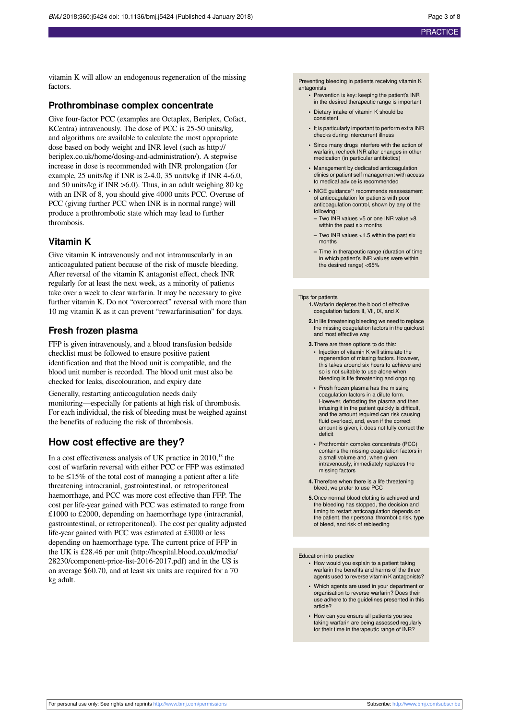vitamin K will allow an endogenous regeneration of the missing factors.

#### **Prothrombinase complex concentrate**

Give four-factor PCC (examples are Octaplex, Beriplex, Cofact, KCentra) intravenously. The dose of PCC is 25-50 units/kg, and algorithms are available to calculate the most appropriate dose based on body weight and INR level (such as [http://](http://beriplex.co.uk/home/dosing-and-administration/) [beriplex.co.uk/home/dosing-and-administration/](http://beriplex.co.uk/home/dosing-and-administration/)). A stepwise increase in dose is recommended with INR prolongation (for example, 25 units/kg if INR is 2-4.0, 35 units/kg if INR 4-6.0, and 50 units/kg if INR >6.0). Thus, in an adult weighing 80 kg with an INR of 8, you should give 4000 units PCC. Overuse of PCC (giving further PCC when INR is in normal range) will produce a prothrombotic state which may lead to further thrombosis.

#### **Vitamin K**

Give vitamin K intravenously and not intramuscularly in an anticoagulated patient because of the risk of muscle bleeding. After reversal of the vitamin K antagonist effect, check INR regularly for at least the next week, as a minority of patients take over a week to clear warfarin. It may be necessary to give further vitamin K. Do not "overcorrect" reversal with more than 10 mg vitamin K as it can prevent "rewarfarinisation" for days.

#### **Fresh frozen plasma**

FFP is given intravenously, and a blood transfusion bedside checklist must be followed to ensure positive patient identification and that the blood unit is compatible, and the blood unit number is recorded. The blood unit must also be checked for leaks, discolouration, and expiry date

Generally, restarting anticoagulation needs daily monitoring—especially for patients at high risk of thrombosis. For each individual, the risk of bleeding must be weighed against the benefits of reducing the risk of thrombosis.

#### **How cost effective are they?**

In a cost effectiveness analysis of UK practice in  $2010$ ,<sup>18</sup> the cost of warfarin reversal with either PCC or FFP was estimated to be ≤15% of the total cost of managing a patient after a life threatening intracranial, gastrointestinal, or retroperitoneal haemorrhage, and PCC was more cost effective than FFP. The cost per life-year gained with PCC was estimated to range from £1000 to £2000, depending on haemorrhage type (intracranial, gastrointestinal, or retroperitoneal). The cost per quality adjusted life-year gained with PCC was estimated at £3000 or less depending on haemorrhage type. The current price of FFP in the UK is £28.46 per unit ([http://hospital.blood.co.uk/media/](http://hospital.blood.co.uk/media/28230/component-price-list-2016-2017.pdf) [28230/component-price-list-2016-2017.pdf](http://hospital.blood.co.uk/media/28230/component-price-list-2016-2017.pdf)) and in the US is on average \$60.70, and at least six units are required for a 70 kg adult.

Preventing bleeding in patients receiving vitamin K antagonists

- **•** Prevention is key: keeping the patient's INR in the desired therapeutic range is important
- **•** Dietary intake of vitamin K should be consistent
- **•** It is particularly important to perform extra INR checks during intercurrent illness
- Since many drugs interfere with the action of warfarin, recheck INR after changes in other medication (in particular antibiotics)
- **•** Management by dedicated anticoagulation clinics or patient self management with access to medical advice is recommended
- NICE guidance<sup>19</sup> recommends reassessment of anticoagulation for patients with poor anticoagulation control, shown by any of the following:
- **–** Two INR values >5 or one INR value >8 within the past six months
- **–** Two INR values <1.5 within the past six months
- **–** Time in therapeutic range (duration of time in which patient's INR values were within the desired range) <65%

#### Tips for patients

- **1.**Warfarin depletes the blood of effective coagulation factors II, VII, IX, and X
- **2.**In life threatening bleeding we need to replace the missing coagulation factors in the quickest and most effective way
- **3.**There are three options to do this: **•** Injection of vitamin K will stimulate the regeneration of missing factors. However, this takes around six hours to achieve and so is not suitable to use alone when bleeding is life threatening and ongoing
- **•** Fresh frozen plasma has the missing coagulation factors in a dilute form. However, defrosting the plasma and then infusing it in the patient quickly is difficult, and the amount required can risk causing fluid overload, and, even if the correct amount is given, it does not fully correct the deficit
- **•** Prothrombin complex concentrate (PCC) contains the missing coagulation factors in a small volume and, when given intravenously, immediately replaces the missing factors
- **4.**Therefore when there is a life threatening bleed, we prefer to use PCC
- **5.**Once normal blood clotting is achieved and the bleeding has stopped, the decision and timing to restart anticoagulation depends on the patient, their personal thrombotic risk, type of bleed, and risk of rebleeding

#### Education into practice

- **•** How would you explain to a patient taking warfarin the benefits and harms of the three agents used to reverse vitamin K antagonists?
- **•** Which agents are used in your department or organisation to reverse warfarin? Does their use adhere to the guidelines presented in this article?
- **•** How can you ensure all patients you see taking warfarin are being assessed regularly for their time in therapeutic range of INR?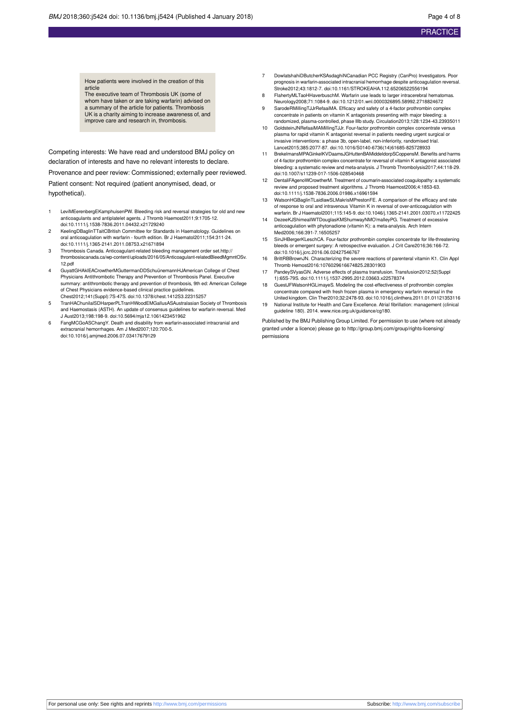How patients were involved in the creation of this article The executive team of Thrombosis UK (some of

whom have taken or are taking warfarin) advised on a summary of the article for patients. Thrombosis UK is a charity aiming to increase awareness of, and improve care and research in, thrombosis.

Competing interests: We have read and understood BMJ policy on declaration of interests and have no relevant interests to declare.

Provenance and peer review: Commissioned; externally peer reviewed.

Patient consent: Not required (patient anonymised, dead, or hypothetical).

- 1 LeviMEerenbergEKamphuisenPW. Bleeding risk and reversal strategies for old and new anticoagulants and antiplatelet agents. J Thromb Haemost2011;9:1705-12. doi:10.1111/j.1538-7836.2011.04432.x21729240
- 2 KeelingDBaglinTTaitCBritish Committee for Standards in Haematology. Guidelines on oral anticoagulation with warfarin - fourth edition. Br J Haematol2011;154:311-24. doi:10.1111/j.1365-2141.2011.08753.x21671894
- 3 Thrombosis Canada. Anticoagulant-related bleeding management order set[.http://](http://thrombosiscanada.ca/wp-content/uploads/2016/05/Anticoagulant-relatedBleedMgmntOSv.12.pdf) [thrombosiscanada.ca/wp-content/uploads/2016/05/Anticoagulant-relatedBleedMgmntOSv.](http://thrombosiscanada.ca/wp-content/uploads/2016/05/Anticoagulant-relatedBleedMgmntOSv.12.pdf) [12.pdf](http://thrombosiscanada.ca/wp-content/uploads/2016/05/Anticoagulant-relatedBleedMgmntOSv.12.pdf)
- 4 GuyattGHAklEACrowtherMGuttermanDDSchuünemannHJAmerican College of Chest Physicians Antithrombotic Therapy and Prevention of Thrombosis Panel. Executive summary: antithrombotic therapy and prevention of thrombosis, 9th ed: American College of Chest Physicians evidence-based clinical practice guidelines. Chest2012;141(Suppl):7S-47S. doi:10.1378/chest.1412S3.22315257
- 5 TranHAChunilalSDHarperPLTranHWoodEMGallusASAustralasian Society of Thrombosis and Haemostasis (ASTH). An update of consensus guidelines for warfarin reversal. Med J Aust2013;198:198-9. doi:10.5694/mja12.1061423451962
- 6 FangMCGoASChangY. Death and disability from warfarin-associated intracranial and extracranial hemorrhages. Am J Med2007;120:700-5. doi:10.1016/j.amjmed.2006.07.03417679129
- 7 DowlatshahiDButcherKSAsdaghiNCanadian PCC Registry (CanPro) Investigators. Poor prognosis in warfarin-associated intracranial hemorrhage despite anticoagulation reversal. Stroke2012;43:1812-7. doi:10.1161/STROKEAHA.112.65206522556194
- 8 FlahertyMLTaoHHaverbuschM. Warfarin use leads to larger intracerebral hen Neurology2008;71:1084-9. doi:10.1212/01.wnl.0000326895.58992.2718824672
- SarodeRMillingTJJrRefaaiMA. Efficacy and safety of a 4-factor prothrombin complex concentrate in patients on vitamin K antagonists presenting with major bleeding: a
- randomized, plasma-controlled, phase IIIb study. Circulation2013;128:1234-43.23935011 10 GoldsteinJNRefaaiMAMillingTJJr. Four-factor prothrombin complex concentrate versus plasma for rapid vitamin K antagonist reversal in patients needing urgent surgical or invasive interventions: a phase 3b, open-label, non-inferiority, randomised trial. Lancet2015;385:2077-87. doi:10.1016/S0140-6736(14)61685-825728933
- 11 BrekelmansMPAGinkelKVDaamsJGHuttenBAMiddeldorpSCoppensM. Benefits and harms of 4-factor prothrombin complex concentrate for reversal of vitamin K antagonist associated bleeding: a systematic review and meta-analysis. J Thromb Thrombolysis2017;44:118-29. doi:10.1007/s11239-017-1506-028540468
- 12 DentaliFAgenoWCrowtherM. Treatment of coumarin-associated coagulopathy: a systematic review and proposed treatment algorithms. J Thromb Haemost2006;4:1853-63. doi:10.1111/j.1538-7836.2006.01986.x16961594
- 13 WatsonHGBaglinTLaidlawSLMakrisMPrestonFE. A comparison of the efficacy and rate of response to oral and intravenous Vitamin K in reversal of over-anticoagulation with warfarin. Br J Haematol2001;115:145-9. doi:10.1046/j.1365-2141.2001.03070.x11722425
- 14 DezeeKJShimeallWTDouglasKMShumwayNMO'malleyPG. Treatment of excessive anticoagulation with phytonadione (vitamin K): a meta-analysis. Arch Intern Med2006;166:391-7.16505257
- 15 SinJHBergerKLeschCA. Four-factor prothrombin complex concentrate for life-threatening bleeds or emergent surgery: A retrospective evaluation. J Crit Care2016;36:166-72. doi:10.1016/j.jcrc.2016.06.02427546767
- 16 BrittRBBrownJN. Characterizing the severe reactions of parenteral vitamin K1. Clin Appl Thromb Hemost2016:1076029616674825.28301903
- 17 PandeySVyasGN. Adverse effects of plasma transfusion. Transfusion2012;52(Suppl 1):65S-79S. doi:10.1111/j.1537-2995.2012.03663.x22578374
- 18 GuestJFWatsonHGLimayeS. Modeling the cost-effectiveness of prothrombin complex concentrate compared with fresh frozen plasma in emergency warfarin reversal in the United kingdom. Clin Ther2010;32:2478-93. doi:10.1016/j.clinthera.2011.01.01121353116
- 19 National Institute for Health and Care Excellence. Atrial fibrillation: management (clinical guideline 180). 2014. [www.nice.org.uk/guidance/cg180](http://www.nice.org.uk/guidance/cg180).

Published by the BMJ Publishing Group Limited. For permission to use (where not already granted under a licence) please go to [http://group.bmj.com/group/rights-licensing/](http://group.bmj.com/group/rights-licensing/permissions) [permissions](http://group.bmj.com/group/rights-licensing/permissions)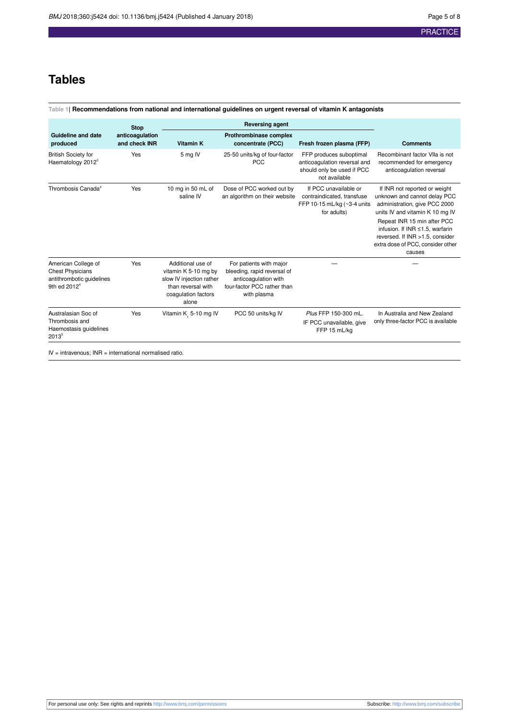### **Tables**

#### <span id="page-4-0"></span>**Table 1| Recommendations from national and international guidelines on urgent reversal of vitamin K antagonists**

|                                                                                                         | <b>Stop</b>                      | <b>Reversing agent</b>                                                                                                      |                                                                                                                              |                                                                                                        |                                                                                                                                                                                                                                                                                       |
|---------------------------------------------------------------------------------------------------------|----------------------------------|-----------------------------------------------------------------------------------------------------------------------------|------------------------------------------------------------------------------------------------------------------------------|--------------------------------------------------------------------------------------------------------|---------------------------------------------------------------------------------------------------------------------------------------------------------------------------------------------------------------------------------------------------------------------------------------|
| <b>Guideline and date</b><br>produced                                                                   | anticoagulation<br>and check INR | <b>Vitamin K</b>                                                                                                            | Prothrombinase complex<br>concentrate (PCC)                                                                                  | Fresh frozen plasma (FFP)                                                                              | <b>Comments</b>                                                                                                                                                                                                                                                                       |
| <b>British Society for</b><br>Haematology 2012 <sup>2</sup>                                             | Yes                              | 5 mg IV                                                                                                                     | 25-50 units/kg of four-factor<br><b>PCC</b>                                                                                  | FFP produces suboptimal<br>anticoagulation reversal and<br>should only be used if PCC<br>not available | Recombinant factor VIIa is not<br>recommended for emergency<br>anticoagulation reversal                                                                                                                                                                                               |
| Thrombosis Canada <sup>3</sup>                                                                          | Yes                              | 10 mg in 50 mL of<br>saline IV                                                                                              | Dose of PCC worked out by<br>an algorithm on their website                                                                   | If PCC unavailable or<br>contraindicated, transfuse<br>FFP 10-15 mL/kg (~3-4 units<br>for adults)      | If INR not reported or weight<br>unknown and cannot delay PCC<br>administration, give PCC 2000<br>units IV and vitamin K 10 mg IV<br>Repeat INR 15 min after PCC<br>infusion. If INR ≤1.5, warfarin<br>reversed. If INR >1.5, consider<br>extra dose of PCC, consider other<br>causes |
| American College of<br><b>Chest Physicians</b><br>antithrombotic guidelines<br>9th ed 2012 <sup>4</sup> | Yes                              | Additional use of<br>vitamin K 5-10 mg by<br>slow IV injection rather<br>than reversal with<br>coagulation factors<br>alone | For patients with major<br>bleeding, rapid reversal of<br>anticoagulation with<br>four-factor PCC rather than<br>with plasma |                                                                                                        |                                                                                                                                                                                                                                                                                       |
| Australasian Soc of<br>Thrombosis and<br>Haemostasis guidelines<br>20135                                | Yes                              | Vitamin K 5-10 mg IV                                                                                                        | PCC 50 units/kg IV                                                                                                           | Plus FFP 150-300 mL.<br>IF PCC unavailable, give<br>FFP 15 mL/kg                                       | In Australia and New Zealand<br>only three-factor PCC is available                                                                                                                                                                                                                    |
| $IV =$ intravenous; $INR =$ international normalised ratio.                                             |                                  |                                                                                                                             |                                                                                                                              |                                                                                                        |                                                                                                                                                                                                                                                                                       |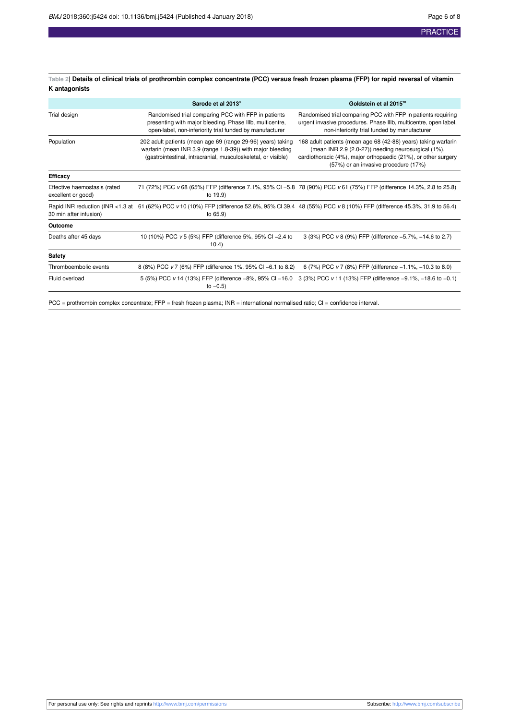<span id="page-5-0"></span>**Table 2| Details of clinical trials of prothrombin complex concentrate (PCC) versus fresh frozen plasma (FFP) for rapid reversal of vitamin K antagonists**

|                                                    | Sarode et al 2013 <sup>9</sup>                                                                                                                                                             | Goldstein et al 2015 <sup>10</sup>                                                                                                                                                                                              |
|----------------------------------------------------|--------------------------------------------------------------------------------------------------------------------------------------------------------------------------------------------|---------------------------------------------------------------------------------------------------------------------------------------------------------------------------------------------------------------------------------|
| Trial design                                       | Randomised trial comparing PCC with FFP in patients<br>presenting with major bleeding. Phase IIIb, multicentre,<br>open-label, non-inferiority trial funded by manufacturer                | Randomised trial comparing PCC with FFP in patients requiring<br>urgent invasive procedures. Phase IIIb, multicentre, open label,<br>non-inferiority trial funded by manufacturer                                               |
| Population                                         | 202 adult patients (mean age 69 (range 29-96) years) taking<br>warfarin (mean INR 3.9 (range 1.8-39)) with major bleeding<br>(gastrointestinal, intracranial, musculoskeletal, or visible) | 168 adult patients (mean age 68 (42-88) years) taking warfarin<br>(mean INR 2.9 (2.0-27)) needing neurosurgical (1%),<br>cardiothoracic (4%), major orthopaedic (21%), or other surgery<br>(57%) or an invasive procedure (17%) |
| Efficacy                                           |                                                                                                                                                                                            |                                                                                                                                                                                                                                 |
| Effective haemostasis (rated<br>excellent or good) | to 19.9)                                                                                                                                                                                   | 71 (72%) PCC v 68 (65%) FFP (difference 7.1%, 95% CI -5.8 78 (90%) PCC v 61 (75%) FFP (difference 14.3%, 2.8 to 25.8)                                                                                                           |
| 30 min after infusion)                             | to 65.9)                                                                                                                                                                                   | Rapid INR reduction (INR <1.3 at 61 (62%) PCC v 10 (10%) FFP (difference 52.6%, 95% CI 39.4 48 (55%) PCC v 8 (10%) FFP (difference 45.3%, 31.9 to 56.4)                                                                         |
| Outcome                                            |                                                                                                                                                                                            |                                                                                                                                                                                                                                 |
| Deaths after 45 days                               | 10 (10%) PCC v 5 (5%) FFP (difference 5%, 95% CI -2.4 to<br>10.4)                                                                                                                          | 3 (3%) PCC v 8 (9%) FFP (difference -5.7%, -14.6 to 2.7)                                                                                                                                                                        |
| <b>Safety</b>                                      |                                                                                                                                                                                            |                                                                                                                                                                                                                                 |
| Thromboembolic events                              | 8 (8%) PCC v 7 (6%) FFP (difference 1%, 95% CI -6.1 to 8.2)                                                                                                                                | 6 (7%) PCC v 7 (8%) FFP (difference -1.1%, -10.3 to 8.0)                                                                                                                                                                        |
| Fluid overload                                     | to $-0.5$ )                                                                                                                                                                                | 5 (5%) PCC v 14 (13%) FFP (difference -8%, 95% CI -16.0 3 (3%) PCC v 11 (13%) FFP (difference -9.1%, -18.6 to -0.1)                                                                                                             |

PCC = prothrombin complex concentrate; FFP = fresh frozen plasma; INR = international normalised ratio; CI = confidence interval.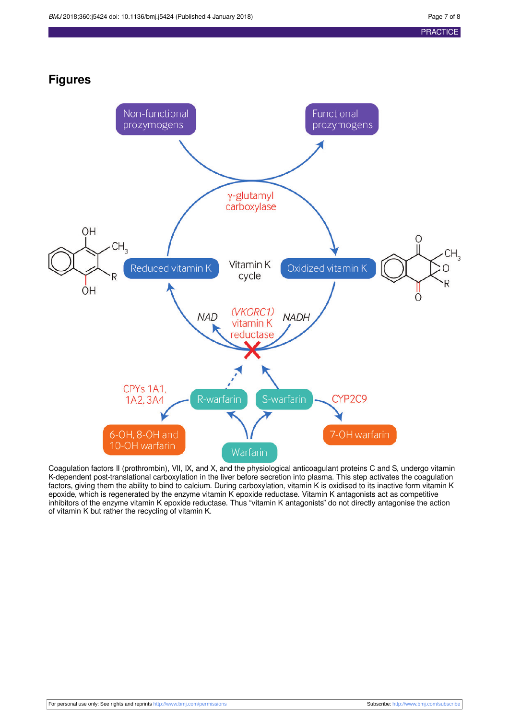### **Figures**

<span id="page-6-0"></span>

Coagulation factors II (prothrombin), VII, IX, and X, and the physiological anticoagulant proteins C and S, undergo vitamin K-dependent post-translational carboxylation in the liver before secretion into plasma. This step activates the coagulation factors, giving them the ability to bind to calcium. During carboxylation, vitamin K is oxidised to its inactive form vitamin K epoxide, which is regenerated by the enzyme vitamin K epoxide reductase. Vitamin K antagonists act as competitive inhibitors of the enzyme vitamin K epoxide reductase. Thus "vitamin K antagonists" do not directly antagonise the action of vitamin K but rather the recycling of vitamin K.